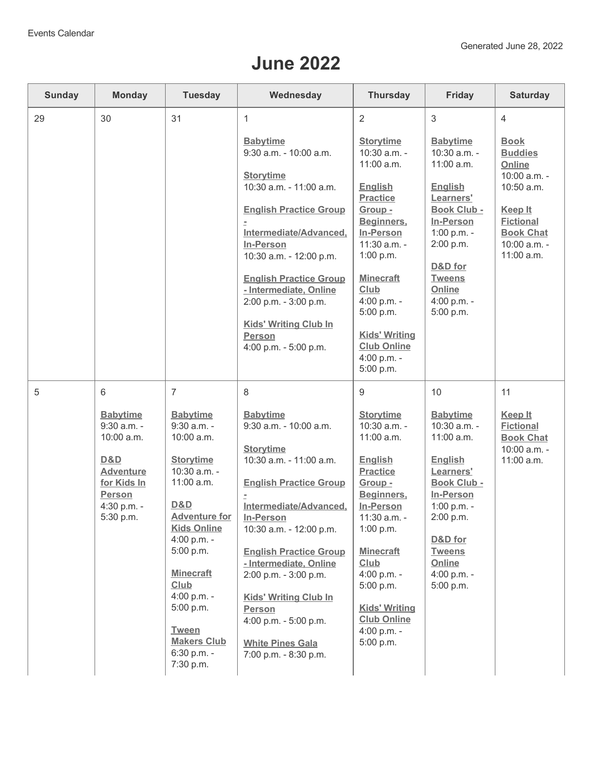## **June 2022**

| <b>Sunday</b> | <b>Monday</b>                                                                       | <b>Tuesday</b>                                    | Wednesday                                                                                                                                          | <b>Thursday</b>                                                           | Friday                                                         | <b>Saturday</b>                                                        |
|---------------|-------------------------------------------------------------------------------------|---------------------------------------------------|----------------------------------------------------------------------------------------------------------------------------------------------------|---------------------------------------------------------------------------|----------------------------------------------------------------|------------------------------------------------------------------------|
| 29            | 30                                                                                  | 31                                                | 1                                                                                                                                                  | $\overline{2}$                                                            | 3                                                              | 4                                                                      |
|               |                                                                                     |                                                   | <b>Babytime</b><br>9:30 a.m. - 10:00 a.m.                                                                                                          | <b>Storytime</b><br>10:30 a.m. -<br>11:00 a.m.                            | <b>Babytime</b><br>10:30 a.m. -<br>11:00 a.m.                  | <b>Book</b><br><b>Buddies</b><br>Online                                |
|               |                                                                                     |                                                   | <b>Storytime</b><br>10:30 a.m. - 11:00 a.m.                                                                                                        | <b>English</b><br><b>Practice</b>                                         | <b>English</b><br>Learners'                                    | 10:00 a.m. -<br>10:50 a.m.                                             |
|               |                                                                                     |                                                   | <b>English Practice Group</b>                                                                                                                      | Group -<br>Beginners,                                                     | <b>Book Club -</b><br>In-Person                                | Keep It<br><b>Fictional</b>                                            |
|               |                                                                                     |                                                   | Intermediate/Advanced,<br>In-Person<br>10:30 a.m. - 12:00 p.m.                                                                                     | <b>In-Person</b><br>11:30 a.m. -<br>1:00 p.m.<br><b>Minecraft</b><br>Club | 1:00 p.m. -<br>2:00 p.m.<br>D&D for<br><b>Tweens</b><br>Online | <b>Book Chat</b><br>10:00 a.m. -<br>11:00 a.m.                         |
|               |                                                                                     |                                                   | <b>English Practice Group</b>                                                                                                                      |                                                                           |                                                                |                                                                        |
|               |                                                                                     |                                                   | - Intermediate, Online<br>2:00 p.m. - 3:00 p.m.                                                                                                    | 4:00 p.m. -<br>5:00 p.m.                                                  | 4:00 p.m. -<br>5:00 p.m.                                       |                                                                        |
|               |                                                                                     |                                                   | <b>Kids' Writing Club In</b><br><b>Person</b><br>4:00 p.m. - 5:00 p.m.                                                                             | <b>Kids' Writing</b><br><b>Club Online</b><br>4:00 p.m. -<br>5:00 p.m.    |                                                                |                                                                        |
| 5             | 6                                                                                   | $\overline{7}$                                    | 8                                                                                                                                                  | 9                                                                         | 10                                                             | 11                                                                     |
|               | <b>Babytime</b><br>9:30 a.m. -<br>10:00 a.m.                                        | <b>Babytime</b><br>9:30 a.m. -<br>10:00 a.m.      | <b>Babytime</b><br>9:30 a.m. - 10:00 a.m.<br><b>Storytime</b>                                                                                      | <b>Storytime</b><br>10:30 a.m. -<br>11:00 a.m.                            | <b>Babytime</b><br>10:30 a.m. -<br>11:00 a.m.                  | <b>Keep It</b><br><b>Fictional</b><br><b>Book Chat</b><br>10:00 a.m. - |
|               | D&D<br><b>Adventure</b><br>for Kids In<br><b>Person</b><br>4:30 p.m. -<br>5:30 p.m. | <b>Storytime</b><br>10:30 a.m. -<br>11:00 a.m.    | 10:30 a.m. - 11:00 a.m.<br><b>English Practice Group</b>                                                                                           | <b>English</b><br><b>Practice</b><br>Group -                              | <b>English</b><br>Learners'<br>Book Club -                     | 11:00 a.m.                                                             |
|               |                                                                                     | D&D<br><b>Adventure for</b><br><b>Kids Online</b> | Beginners,<br>Intermediate/Advanced,<br>1:00 p.m. -<br>In-Person<br>2:00 p.m.<br>11:30 a.m. -<br>In-Person<br>10:30 a.m. - 12:00 p.m.<br>1:00 p.m. | In-Person                                                                 |                                                                |                                                                        |
|               |                                                                                     | 4:00 p.m. -<br>5:00 p.m.                          | <b>English Practice Group</b><br>- Intermediate, Online                                                                                            | <b>Minecraft</b><br>Club                                                  | D&D for<br><b>Tweens</b><br>Online                             |                                                                        |
|               |                                                                                     | <b>Minecraft</b><br>Club                          | 2:00 p.m. - 3:00 p.m.                                                                                                                              | 4:00 p.m. -<br>5:00 p.m.                                                  | 4:00 p.m. -<br>5:00 p.m.                                       |                                                                        |
|               |                                                                                     | 4:00 p.m. -<br>5:00 p.m.<br><b>Tween</b>          | <b>Kids' Writing Club In</b><br><b>Person</b><br>4:00 p.m. - 5:00 p.m.                                                                             | <b>Kids' Writing</b><br><b>Club Online</b>                                |                                                                |                                                                        |
|               |                                                                                     | <b>Makers Club</b><br>6:30 p.m. -<br>7:30 p.m.    | <b>White Pines Gala</b><br>7:00 p.m. - 8:30 p.m.                                                                                                   | 4:00 p.m. -<br>5:00 p.m.                                                  |                                                                |                                                                        |